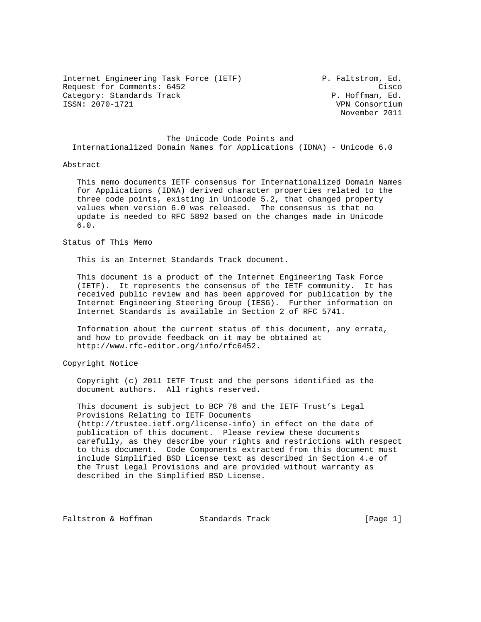Internet Engineering Task Force (IETF) P. Faltstrom, Ed. Request for Comments: 6452 Cisco Category: Standards Track P. Hoffman, Ed.<br>
FSSN: 2070-1721 P. Hoffman, Ed.

VPN Consortium November 2011

 The Unicode Code Points and Internationalized Domain Names for Applications (IDNA) - Unicode 6.0

## Abstract

 This memo documents IETF consensus for Internationalized Domain Names for Applications (IDNA) derived character properties related to the three code points, existing in Unicode 5.2, that changed property values when version 6.0 was released. The consensus is that no update is needed to RFC 5892 based on the changes made in Unicode 6.0.

## Status of This Memo

This is an Internet Standards Track document.

 This document is a product of the Internet Engineering Task Force (IETF). It represents the consensus of the IETF community. It has received public review and has been approved for publication by the Internet Engineering Steering Group (IESG). Further information on Internet Standards is available in Section 2 of RFC 5741.

 Information about the current status of this document, any errata, and how to provide feedback on it may be obtained at http://www.rfc-editor.org/info/rfc6452.

Copyright Notice

 Copyright (c) 2011 IETF Trust and the persons identified as the document authors. All rights reserved.

 This document is subject to BCP 78 and the IETF Trust's Legal Provisions Relating to IETF Documents (http://trustee.ietf.org/license-info) in effect on the date of publication of this document. Please review these documents carefully, as they describe your rights and restrictions with respect to this document. Code Components extracted from this document must include Simplified BSD License text as described in Section 4.e of the Trust Legal Provisions and are provided without warranty as described in the Simplified BSD License.

Faltstrom & Hoffman Standards Track [Page 1]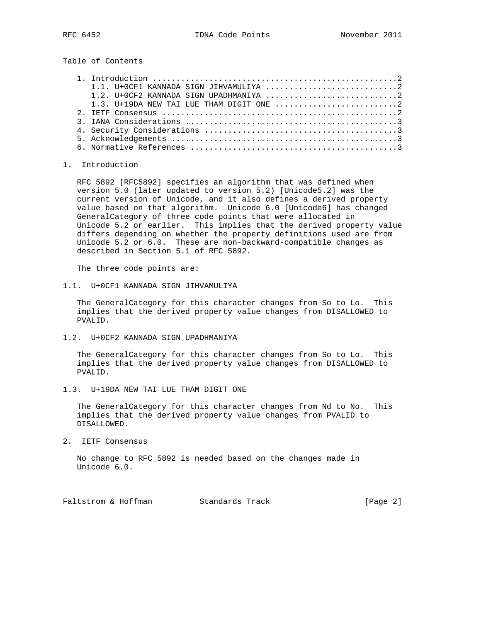Table of Contents

## 1. Introduction

 RFC 5892 [RFC5892] specifies an algorithm that was defined when version 5.0 (later updated to version 5.2) [Unicode5.2] was the current version of Unicode, and it also defines a derived property value based on that algorithm. Unicode 6.0 [Unicode6] has changed GeneralCategory of three code points that were allocated in Unicode 5.2 or earlier. This implies that the derived property value differs depending on whether the property definitions used are from Unicode 5.2 or 6.0. These are non-backward-compatible changes as described in Section 5.1 of RFC 5892.

The three code points are:

1.1. U+0CF1 KANNADA SIGN JIHVAMULIYA

 The GeneralCategory for this character changes from So to Lo. This implies that the derived property value changes from DISALLOWED to PVALID.

1.2. U+0CF2 KANNADA SIGN UPADHMANIYA

 The GeneralCategory for this character changes from So to Lo. This implies that the derived property value changes from DISALLOWED to PVALID.

1.3. U+19DA NEW TAI LUE THAM DIGIT ONE

 The GeneralCategory for this character changes from Nd to No. This implies that the derived property value changes from PVALID to DISALLOWED.

2. IETF Consensus

 No change to RFC 5892 is needed based on the changes made in Unicode 6.0.

Faltstrom & Hoffman Standards Track [Page 2]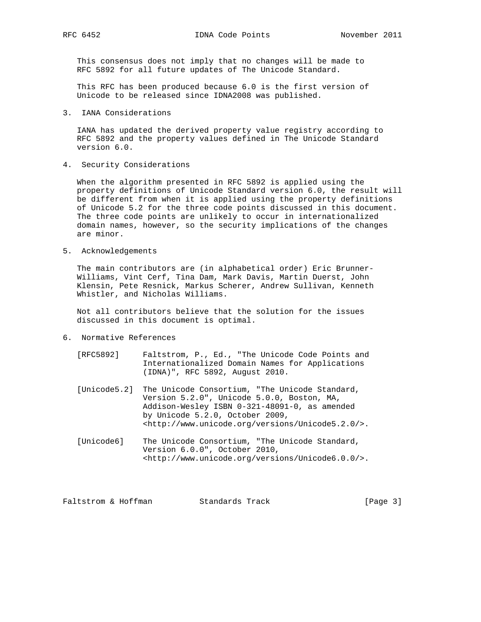RFC 6452 IDNA Code Points November 2011

 This consensus does not imply that no changes will be made to RFC 5892 for all future updates of The Unicode Standard.

 This RFC has been produced because 6.0 is the first version of Unicode to be released since IDNA2008 was published.

3. IANA Considerations

 IANA has updated the derived property value registry according to RFC 5892 and the property values defined in The Unicode Standard version 6.0.

4. Security Considerations

 When the algorithm presented in RFC 5892 is applied using the property definitions of Unicode Standard version 6.0, the result will be different from when it is applied using the property definitions of Unicode 5.2 for the three code points discussed in this document. The three code points are unlikely to occur in internationalized domain names, however, so the security implications of the changes are minor.

5. Acknowledgements

 The main contributors are (in alphabetical order) Eric Brunner- Williams, Vint Cerf, Tina Dam, Mark Davis, Martin Duerst, John Klensin, Pete Resnick, Markus Scherer, Andrew Sullivan, Kenneth Whistler, and Nicholas Williams.

 Not all contributors believe that the solution for the issues discussed in this document is optimal.

- 6. Normative References
	- [RFC5892] Faltstrom, P., Ed., "The Unicode Code Points and Internationalized Domain Names for Applications (IDNA)", RFC 5892, August 2010.
	- [Unicode5.2] The Unicode Consortium, "The Unicode Standard, Version 5.2.0", Unicode 5.0.0, Boston, MA, Addison-Wesley ISBN 0-321-48091-0, as amended by Unicode 5.2.0, October 2009, <http://www.unicode.org/versions/Unicode5.2.0/>.
	- [Unicode6] The Unicode Consortium, "The Unicode Standard, Version 6.0.0", October 2010, <http://www.unicode.org/versions/Unicode6.0.0/>.

| [Page $3$ ]<br>Faltstrom & Hoffman<br>Standards Track |  |  |  |  |
|-------------------------------------------------------|--|--|--|--|
|-------------------------------------------------------|--|--|--|--|